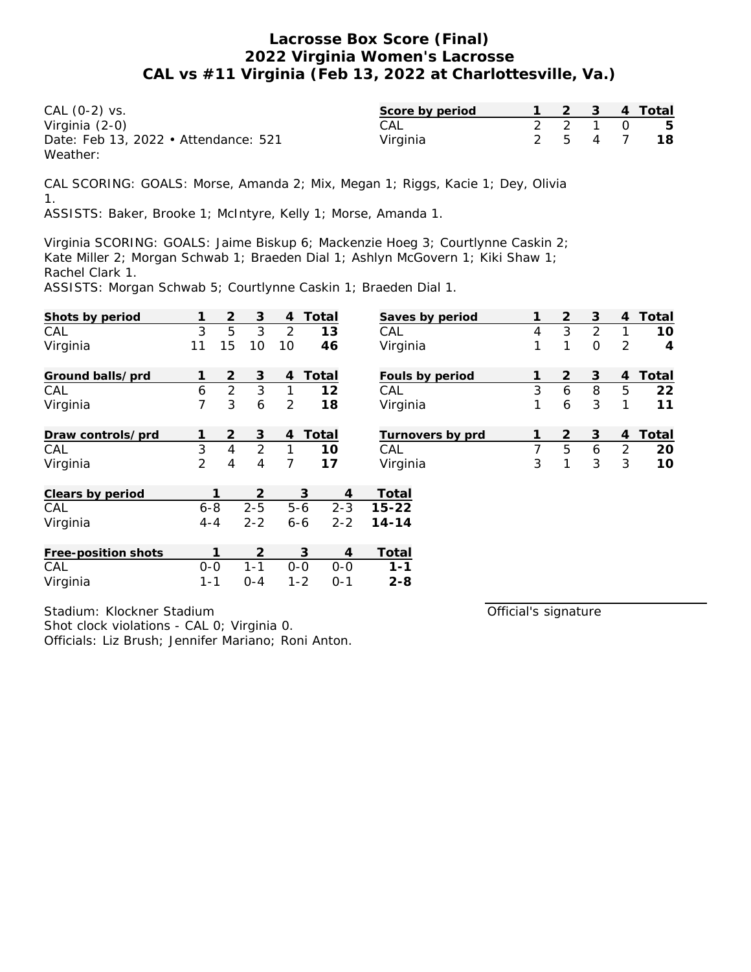| CAL (0-2) vs.                        | Score by period |  |         | 2 3 4 Total |
|--------------------------------------|-----------------|--|---------|-------------|
| Virginia (2-0)                       | CAL             |  |         | 2 2 1 0 5   |
| Date: Feb 13, 2022 • Attendance: 521 | Virginia        |  | 2 5 4 7 | -18         |
| Weather:                             |                 |  |         |             |

CAL SCORING: GOALS: Morse, Amanda 2; Mix, Megan 1; Riggs, Kacie 1; Dey, Olivia 1.

ASSISTS: Baker, Brooke 1; McIntyre, Kelly 1; Morse, Amanda 1.

Virginia SCORING: GOALS: Jaime Biskup 6; Mackenzie Hoeg 3; Courtlynne Caskin 2; Kate Miller 2; Morgan Schwab 1; Braeden Dial 1; Ashlyn McGovern 1; Kiki Shaw 1; Rachel Clark 1.

ASSISTS: Morgan Schwab 5; Courtlynne Caskin 1; Braeden Dial 1.

| Shots by period     | 1              | 2              | 3       | 4       | Total   | Saves by period         | 1 | 2              | 3              | 4              | Total          |
|---------------------|----------------|----------------|---------|---------|---------|-------------------------|---|----------------|----------------|----------------|----------------|
| CAL                 | 3              | 5              | 3       | 2       | 13      | CAL                     | 4 | 3              | $\overline{2}$ | 1              | 10             |
| Virginia            | 11             | 15             | 10      | 10      | 46      | Virginia                | 1 | 1              | $\mathcal{O}$  | 2              | $\overline{4}$ |
| Ground balls/prd    | 1              | $\overline{2}$ | 3       | 4       | Total   | Fouls by period         | 1 | 2              | 3              | $\overline{4}$ | Total          |
| CAL                 | 6              | $\overline{2}$ | 3       | 1       | 12      | CAL                     | 3 | 6              | 8              | 5              | 22             |
| Virginia            | 7              | 3              | 6       | 2       | 18      | Virginia                | 1 | 6              | 3              | 1              | 11             |
| Draw controls/prd   | 1              | 2              | 3       | 4       | Total   | Turnovers by prd        | 1 | $\overline{2}$ | 3              | $\overline{4}$ | Total          |
| CAL                 | 3              | 4              | 2       | 1       | 10      | CAL                     | 7 | 5              | 6              | $\overline{2}$ | 20             |
| Virginia            | $\overline{2}$ | 4              | 4       | 7       | 17      | Virginia                | 3 | 1              | 3              | 3              | 10             |
| Clears by period    |                | 1              | 2       |         | 3       | Total<br>4              |   |                |                |                |                |
| CAL                 | $6 - 8$        |                | $2 - 5$ | $5 - 6$ |         | $2 - 3$<br>$15 - 22$    |   |                |                |                |                |
| Virginia            | $4 - 4$        |                | $2 - 2$ | $6 - 6$ | $2 - 2$ | $14 - 14$               |   |                |                |                |                |
| Free-position shots |                |                | 2       |         | 3       | Total<br>$\overline{4}$ |   |                |                |                |                |
| CAL                 | $0-0$          |                | $1 - 1$ | $O-O$   | $0 - 0$ | $1 - 1$                 |   |                |                |                |                |
| Virginia            | $1 - 1$        |                | $O - 4$ | $1 - 2$ | $0 - 1$ | $2 - 8$                 |   |                |                |                |                |

Stadium: Klockner Stadium Shot clock violations - CAL 0; Virginia 0. Officials: Liz Brush; Jennifer Mariano; Roni Anton. Official's signature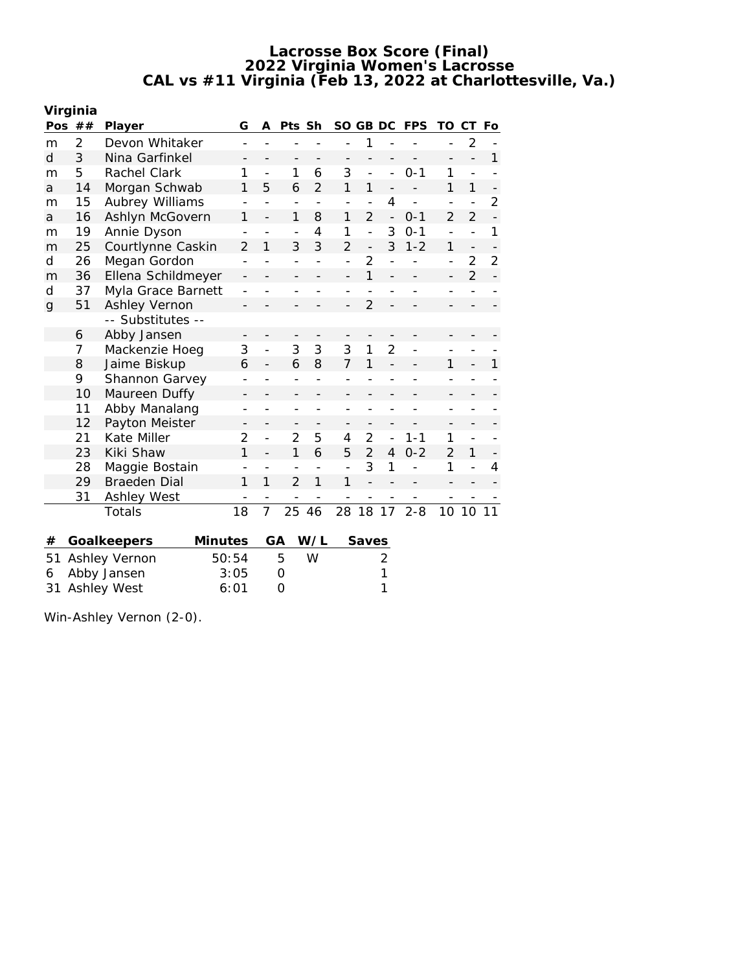|      | Virginia |                        |    |                |                |                          |              |                          |                          |                |                |                          |                          |
|------|----------|------------------------|----|----------------|----------------|--------------------------|--------------|--------------------------|--------------------------|----------------|----------------|--------------------------|--------------------------|
| Pos  | ##       | Player                 | G  | A              | Pts Sh         |                          | SO GB DC     |                          |                          | <b>FPS</b>     | TO.            | СT                       | Fo                       |
| m    | 2        | Devon Whitaker         |    |                |                |                          |              | 1                        |                          |                |                | $\overline{2}$           |                          |
| d    | 3        | Nina Garfinkel         |    |                |                |                          |              |                          |                          |                |                |                          | 1                        |
| m    | 5        | Rachel Clark           | 1  | $\overline{a}$ | 1              | 6                        | 3            | $\overline{a}$           |                          | $0 - 1$        | 1              |                          |                          |
| a    | 14       | Morgan Schwab          | 1  | 5              | 6              | $\overline{2}$           | 1            | 1                        |                          |                | 1              | 1                        | -                        |
| m    | 15       | <b>Aubrey Williams</b> |    |                |                | $\overline{\phantom{a}}$ |              |                          | 4                        | $\overline{a}$ |                |                          | $\overline{2}$           |
| a    | 16       | Ashlyn McGovern        | 1  |                | 1              | 8                        | 1            | $\overline{2}$           | $\overline{\phantom{0}}$ | $0 - 1$        | $\overline{2}$ | $\overline{2}$           | $\overline{a}$           |
| m    | 19       | Annie Dyson            |    |                |                | 4                        | 1            | $\overline{\phantom{a}}$ | 3                        | $0 - 1$        |                |                          | 1                        |
| m    | 25       | Courtlynne Caskin      | 2  | 1              | 3              | 3                        | 2            | $\overline{\phantom{0}}$ | 3                        | $1 - 2$        | 1              | $\overline{\phantom{0}}$ | $\overline{\phantom{0}}$ |
| d    | 26       | Megan Gordon           |    |                |                |                          |              | $\overline{2}$           |                          |                |                | 2                        | $\overline{2}$           |
| m    | 36       | Ellena Schildmeyer     |    |                |                |                          |              | 1                        |                          |                |                | $\overline{2}$           |                          |
| d    | 37       | Myla Grace Barnett     |    |                |                |                          |              |                          |                          |                |                |                          |                          |
| g    | 51       | Ashley Vernon          |    |                |                |                          |              | $\overline{2}$           |                          |                |                |                          |                          |
|      |          | -- Substitutes --      |    |                |                |                          |              |                          |                          |                |                |                          |                          |
|      | 6        | Abby Jansen            |    |                |                |                          |              |                          |                          |                |                |                          |                          |
|      | 7        | Mackenzie Hoeg         | 3  |                | 3              | 3                        | 3            | 1                        | $\overline{2}$           |                |                |                          |                          |
|      | 8        | Jaime Biskup           | 6  |                | 6              | 8                        | 7            | 1                        |                          |                | 1              |                          | 1                        |
|      | 9        | Shannon Garvey         |    |                |                |                          |              |                          |                          |                |                |                          |                          |
|      | 10       | Maureen Duffy          |    |                |                |                          |              |                          |                          |                |                |                          |                          |
|      | 11       | Abby Manalang          |    |                |                |                          |              |                          |                          |                |                |                          |                          |
|      | 12       | Payton Meister         |    |                |                |                          |              |                          |                          |                |                |                          |                          |
|      | 21       | Kate Miller            | 2  | $\overline{a}$ | 2              | 5                        | 4            | 2                        |                          | $1 - 1$        | 1              |                          |                          |
|      | 23       | Kiki Shaw              | 1  |                | 1              | 6                        | 5            | $\overline{2}$           | 4                        | $0 - 2$        | $\mathcal{P}$  | 1                        |                          |
|      | 28       | Maggie Bostain         |    |                |                |                          |              | 3                        | 1                        |                | 1              |                          | 4                        |
|      | 29       | <b>Braeden Dial</b>    | 1  | 1              | $\mathfrak{D}$ | 1                        | $\mathbf{1}$ |                          |                          |                |                |                          |                          |
|      | 31       | Ashley West            |    |                |                |                          | -            |                          |                          |                |                |                          |                          |
|      |          | <b>Totals</b>          | 18 | 7              | 25             | 46                       | 28           | 18                       | 17                       | $2 - 8$        |                | 10 10                    | 11                       |
| $\#$ |          | Minutes<br>Goalkeepers |    |                | GA             | W/L                      |              | Saves                    |                          |                |                |                          |                          |

| 51 Ashley Vernon | 50:54 | $\overline{b}$ | W |  |
|------------------|-------|----------------|---|--|
| 6 Abby Jansen    | 3:05  |                |   |  |
| 31 Ashley West   | 6:01  |                |   |  |

Win-Ashley Vernon (2-0).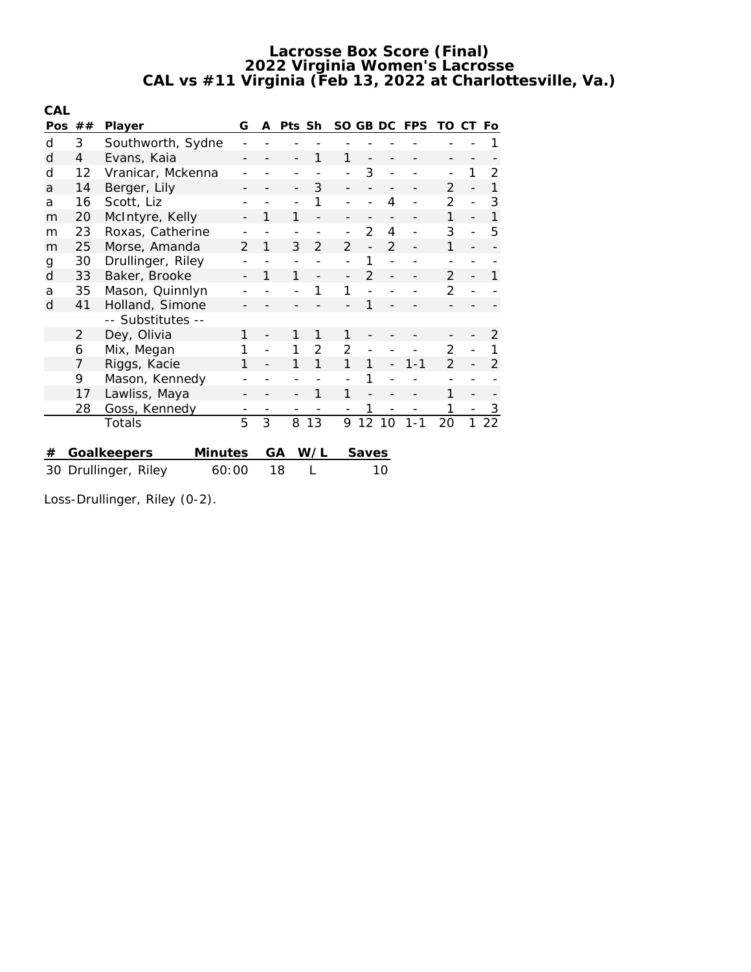| CAL        |    |                               |               |   |        |               |                |               |                |            |                |    |    |
|------------|----|-------------------------------|---------------|---|--------|---------------|----------------|---------------|----------------|------------|----------------|----|----|
| <b>Pos</b> | ## | Player                        | G             | A | Pts Sh |               | SO GB DC       |               |                | <b>FPS</b> | TO             | CT | Fo |
| d          | 3  | Southworth, Sydne             |               |   |        |               |                |               |                |            |                |    |    |
| d          | 4  | Evans, Kaia                   |               |   |        |               | 1              |               |                |            |                |    |    |
| d          | 12 | Vranicar, Mckenna             |               |   |        |               |                | 3             |                |            |                | 1  | 2  |
| a          | 14 | Berger, Lily                  |               |   |        | 3             |                |               |                |            | $\overline{2}$ |    | 1  |
| a          | 16 | Scott, Liz                    |               |   |        | 1             |                |               | 4              |            | $\overline{2}$ |    | 3  |
| m          | 20 | McIntyre, Kelly               |               | 1 | 1      |               |                |               |                |            | 1              |    | 1  |
| m          | 23 | Roxas, Catherine              |               |   |        |               |                | $\mathcal{P}$ | 4              |            | 3              |    | 5  |
| m          | 25 | Morse, Amanda                 | $\mathcal{P}$ | 1 | 3      | $\mathcal{P}$ | $\mathcal{P}$  |               | $\mathfrak{D}$ |            | $\mathbf{1}$   |    |    |
| g          | 30 | Drullinger, Riley             |               |   |        |               |                |               |                |            |                |    |    |
| d          | 33 | Baker, Brooke                 |               | 1 | 1      |               |                | $\mathcal{P}$ |                |            | $\overline{2}$ |    | 1  |
| a          | 35 | Mason, Quinnlyn               |               |   |        |               | 1              |               |                |            | 2              |    |    |
| d          | 41 | Holland, Simone               |               |   |        |               |                | 1             |                |            |                |    |    |
|            |    | -- Substitutes --             |               |   |        |               |                |               |                |            |                |    |    |
|            | 2  | Dey, Olivia                   | 1             |   | 1      | 1             | 1              |               |                |            |                |    | 2  |
|            | 6  | Mix, Megan                    |               |   |        | 2             | $\overline{2}$ |               |                |            | $\overline{2}$ |    | 1  |
|            | 7  | Riggs, Kacie                  | 1             |   |        | 1             | 1              | 1             |                | $1 - 1$    | $\overline{2}$ |    | 2  |
|            | 9  | Mason, Kennedy                |               |   |        |               |                |               |                |            |                |    |    |
|            | 17 | Lawliss, Maya                 |               |   |        | 1             | 1              |               |                |            | 1              |    |    |
|            | 28 | Goss, Kennedy                 |               |   |        |               |                | 1             |                |            | 1              |    | 3  |
|            |    | Totals                        | 5             | 3 | 8      | 13            | 9              | 12            | 10             | $1 - 1$    | 20             | 1  | 22 |
|            |    |                               |               |   |        |               |                |               |                |            |                |    |    |
| #          |    | Minutes<br>Goalkeepers        |               |   | GА     | W/L           |                | Saves         |                |            |                |    |    |
|            |    | 30 Drullinger, Riley<br>60:00 |               |   | 18     |               |                |               | 10             |            |                |    |    |

Loss-Drullinger, Riley (0-2).